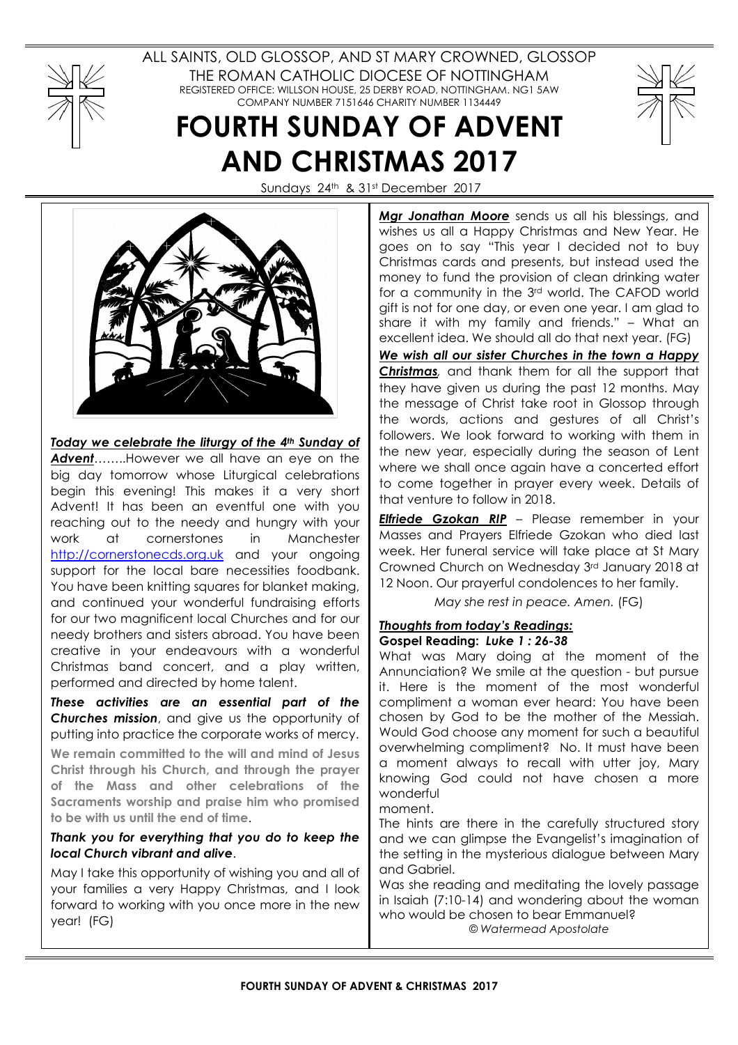

ALL SAINTS, OLD GLOSSOP, AND ST MARY CROWNED, GLOSSOP THE ROMAN CATHOLIC DIOCESE OF NOTTINGHAM REGISTERED OFFICE: WILLSON HOUSE, 25 DERBY ROAD, NOTTINGHAM. NG1 5AW COMPANY NUMBER 7151646 CHARITY NUMBER 1134449

# FOURTH SUNDAY OF ADVENT AND CHRISTMAS 2017



Sundays 24th & 31st December 2017



Today we celebrate the liturgy of the 4th Sunday of

Advent........However we all have an eye on the big day tomorrow whose Liturgical celebrations begin this evening! This makes it a very short Advent! It has been an eventful one with you reaching out to the needy and hungry with your work at cornerstones in Manchester http://cornerstonecds.org.uk and your ongoing support for the local bare necessities foodbank. You have been knitting squares for blanket making, and continued your wonderful fundraising efforts for our two magnificent local Churches and for our needy brothers and sisters abroad. You have been creative in your endeavours with a wonderful Christmas band concert, and a play written, performed and directed by home talent.

These activities are an essential part of the Churches mission, and give us the opportunity of putting into practice the corporate works of mercy.

We remain committed to the will and mind of Jesus Christ through his Church, and through the prayer of the Mass and other celebrations of the Sacraments worship and praise him who promised to be with us until the end of time.

# Thank you for everything that you do to keep the local Church vibrant and alive.

May I take this opportunity of wishing you and all of your families a very Happy Christmas, and I look forward to working with you once more in the new year! (FG)

Mgr Jonathan Moore sends us all his blessings, and wishes us all a Happy Christmas and New Year. He goes on to say "This year I decided not to buy Christmas cards and presents, but instead used the money to fund the provision of clean drinking water for a community in the 3rd world. The CAFOD world gift is not for one day, or even one year. I am glad to share it with my family and friends." – What an excellent idea. We should all do that next year. (FG)

We wish all our sister Churches in the town a Happy **Christmas**, and thank them for all the support that they have given us during the past 12 months. May the message of Christ take root in Glossop through the words, actions and gestures of all Christ's followers. We look forward to working with them in the new year, especially during the season of Lent where we shall once again have a concerted effort to come together in prayer every week. Details of that venture to follow in 2018.

**Elfriede Gzokan RIP** – Please remember in your Masses and Prayers Elfriede Gzokan who died last week. Her funeral service will take place at St Mary Crowned Church on Wednesday 3rd January 2018 at 12 Noon. Our prayerful condolences to her family.

May she rest in peace. Amen. (FG)

## Thoughts from today's Readings: Gospel Reading: Luke 1 : 26-38

What was Mary doing at the moment of the Annunciation? We smile at the question - but pursue it. Here is the moment of the most wonderful compliment a woman ever heard: You have been chosen by God to be the mother of the Messiah. Would God choose any moment for such a beautiful overwhelming compliment? No. It must have been a moment always to recall with utter joy, Mary knowing God could not have chosen a more wonderful

moment.

The hints are there in the carefully structured story and we can glimpse the Evangelist's imagination of the setting in the mysterious dialogue between Mary and Gabriel.

Was she reading and meditating the lovely passage in Isaiah (7:10-14) and wondering about the woman who would be chosen to bear Emmanuel? © Watermead Apostolate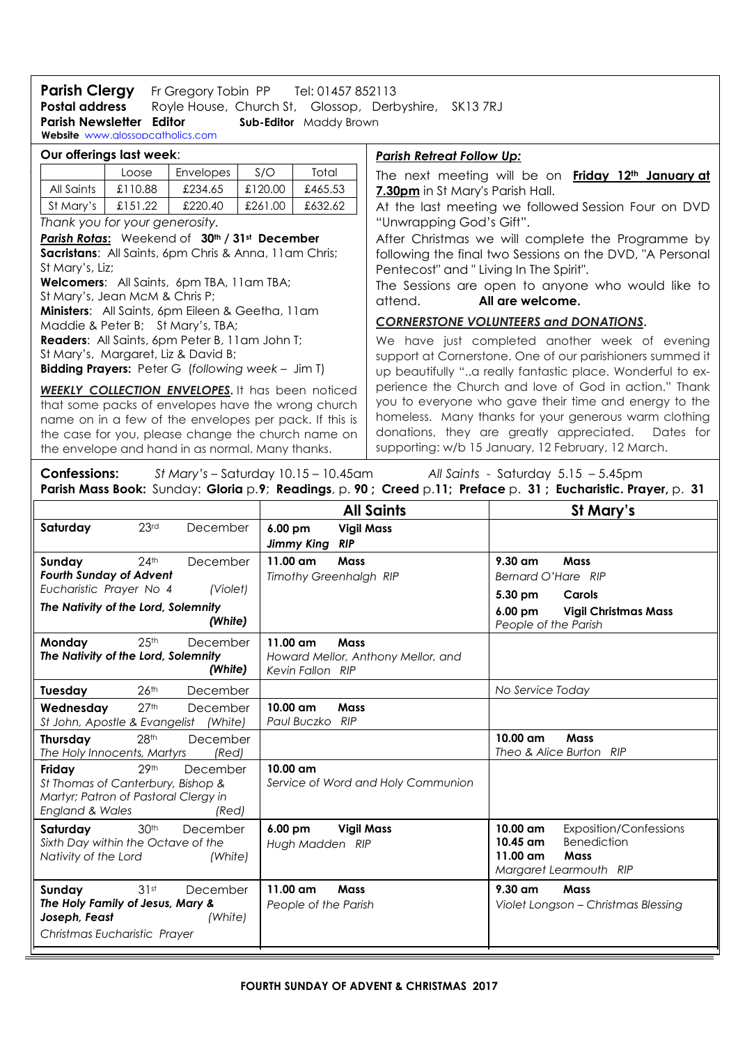Postal address Royle House, Church St, Glossop, Derbyshire, SK13 7RJ **Parish Clergy** Fr Gregory Tobin PP Tel: 01457 852113<br>**Postal address** Royle House, Church St, Glossop, Derb Parish Newsletter Editor Sub-Editor Maddy Brown Website www.alossopcatholics.com

| Our offerings last week:                                                                                                                                                                                                                                                          |         |                                                                                                                                                          |         |         | <u> Parish Retreat Follow Up:</u>                                                                                                                                                                                                                                                   |  |  |
|-----------------------------------------------------------------------------------------------------------------------------------------------------------------------------------------------------------------------------------------------------------------------------------|---------|----------------------------------------------------------------------------------------------------------------------------------------------------------|---------|---------|-------------------------------------------------------------------------------------------------------------------------------------------------------------------------------------------------------------------------------------------------------------------------------------|--|--|
|                                                                                                                                                                                                                                                                                   | Loose   | <b>Envelopes</b>                                                                                                                                         | S/O     | Total   | The next meeting will be on <b>Friday 12<sup>th</sup> January at</b>                                                                                                                                                                                                                |  |  |
| All Saints                                                                                                                                                                                                                                                                        | £110.88 | £234.65                                                                                                                                                  | £120.00 | £465.53 | 7.30pm in St Mary's Parish Hall.                                                                                                                                                                                                                                                    |  |  |
| St Mary's                                                                                                                                                                                                                                                                         | £151.22 | £220.40                                                                                                                                                  | £261.00 | £632.62 | At the last meeting we followed Session Four on DVD                                                                                                                                                                                                                                 |  |  |
| Thank you for your generosity.                                                                                                                                                                                                                                                    |         |                                                                                                                                                          |         |         | "Unwrapping God's Gift".                                                                                                                                                                                                                                                            |  |  |
| Parish Rotas: Weekend of 30th / 31st December                                                                                                                                                                                                                                     |         |                                                                                                                                                          |         |         | After Christmas we will complete the Programme by                                                                                                                                                                                                                                   |  |  |
| Sacristans: All Saints, 6pm Chris & Anna, 11am Chris;                                                                                                                                                                                                                             |         |                                                                                                                                                          |         |         | following the final two Sessions on the DVD, "A Personal<br>Pentecost" and "Living In The Spirit".                                                                                                                                                                                  |  |  |
| St Mary's, Liz;                                                                                                                                                                                                                                                                   |         |                                                                                                                                                          |         |         |                                                                                                                                                                                                                                                                                     |  |  |
| <b>Welcomers:</b> All Saints, 6pm TBA, 11am TBA;                                                                                                                                                                                                                                  |         |                                                                                                                                                          |         |         | The Sessions are open to anyone who would like to                                                                                                                                                                                                                                   |  |  |
| St Mary's, Jean McM & Chris P;                                                                                                                                                                                                                                                    |         |                                                                                                                                                          |         |         | All are welcome.<br>attend.                                                                                                                                                                                                                                                         |  |  |
| Ministers: All Saints, 6pm Eileen & Geetha, 11am<br>Maddie & Peter B; St Mary's, TBA;                                                                                                                                                                                             |         |                                                                                                                                                          |         |         | <b>CORNERSTONE VOLUNTEERS and DONATIONS.</b>                                                                                                                                                                                                                                        |  |  |
|                                                                                                                                                                                                                                                                                   |         | <b>Readers:</b> All Saints, 6pm Peter B, 11am John T;<br>St Mary's, Margaret, Liz & David B;<br><b>Bidding Prayers:</b> Peter G (following week - Jim T) |         |         | We have just completed another week of evening<br>support at Cornerstone. One of our parishioners summed it<br>up beautifully "a really fantastic place. Wonderful to ex-                                                                                                           |  |  |
| <b>WEEKLY COLLECTION ENVELOPES. It has been noticed</b><br>that some packs of envelopes have the wrong church<br>name on in a few of the envelopes per pack. If this is<br>the case for you, please change the church name on<br>the envelope and hand in as normal. Many thanks. |         |                                                                                                                                                          |         |         | perience the Church and love of God in action." Thank<br>you to everyone who gave their time and energy to the<br>homeless. Many thanks for your generous warm clothing<br>donations, they are greatly appreciated. Dates for<br>supporting: w/b 15 January, 12 February, 12 March. |  |  |

Confessions: St Mary's - Saturday 10.15 - 10.45am All Saints - Saturday 5.15 - 5.45pm Parish Mass Book: Sunday: Gloria p.9; Readings, p. 90; Creed p.11; Preface p. 31; Eucharistic. Prayer, p. 31

|                                                                                                                                                                   | <b>All Saints</b>                                                                   | St Mary's                                                                                                                                            |
|-------------------------------------------------------------------------------------------------------------------------------------------------------------------|-------------------------------------------------------------------------------------|------------------------------------------------------------------------------------------------------------------------------------------------------|
| 23 <sup>rd</sup><br>Saturday<br>December                                                                                                                          | 6.00 pm<br><b>Vigil Mass</b><br><b>Jimmy King</b><br><b>RIP</b>                     |                                                                                                                                                      |
| 24 <sup>th</sup><br>Sunday<br>December<br><b>Fourth Sunday of Advent</b><br>Eucharistic Prayer No 4<br>(Violet)<br>The Nativity of the Lord, Solemnity<br>(White) | $11.00 \text{ cm}$<br>Mass<br><b>Timothy Greenhalgh RIP</b>                         | $9.30 \text{ cm}$<br>Mass<br>Bernard O'Hare RIP<br>5.30 pm<br>Carols<br>$6.00 \text{ pm}$<br><b>Vigil Christmas Mass</b><br>People of the Parish     |
| 25 <sup>th</sup><br>Monday<br>December<br>The Nativity of the Lord, Solemnity<br>(White)                                                                          | $11.00$ am<br><b>Mass</b><br>Howard Mellor, Anthony Mellor, and<br>Kevin Fallon RIP |                                                                                                                                                      |
| 26 <sup>th</sup><br>December<br>Tuesday                                                                                                                           |                                                                                     | No Service Today                                                                                                                                     |
| 27 <sup>th</sup><br>Wednesday<br>December<br>St John, Apostle & Evangelist (White)                                                                                | Mass<br>$10.00 \text{ cm}$<br>Paul Buczko<br>RIP                                    |                                                                                                                                                      |
| 28 <sup>th</sup><br>December<br><b>Thursday</b><br>The Holy Innocents, Martyrs<br>(Red)                                                                           |                                                                                     | 10.00 am<br><b>Mass</b><br>Theo & Alice Burton RIP                                                                                                   |
| 29th<br>Friday<br>December<br>St Thomas of Canterbury, Bishop &<br>Martyr; Patron of Pastoral Clergy in<br><b>England &amp; Wales</b><br>(Red)                    | $10.00$ am<br>Service of Word and Holy Communion                                    |                                                                                                                                                      |
| 30 <sup>th</sup><br>Saturday<br>December<br>Sixth Day within the Octave of the<br>Nativity of the Lord<br>(White)                                                 | 6.00 pm<br><b>Vigil Mass</b><br>Hugh Madden RIP                                     | $10.00 \text{ cm}$<br><b>Exposition/Confessions</b><br><b>Benediction</b><br>10.45 am<br>$11.00 \text{ cm}$<br><b>Mass</b><br>Margaret Learmouth RIP |
| 31st<br>Sunday<br>December<br>The Holy Family of Jesus, Mary &<br>Joseph, Feast<br>(White)<br>Christmas Eucharistic Prayer                                        | $11.00$ am<br><b>Mass</b><br>People of the Parish                                   | $9.30$ am<br><b>Mass</b><br>Violet Longson - Christmas Blessing                                                                                      |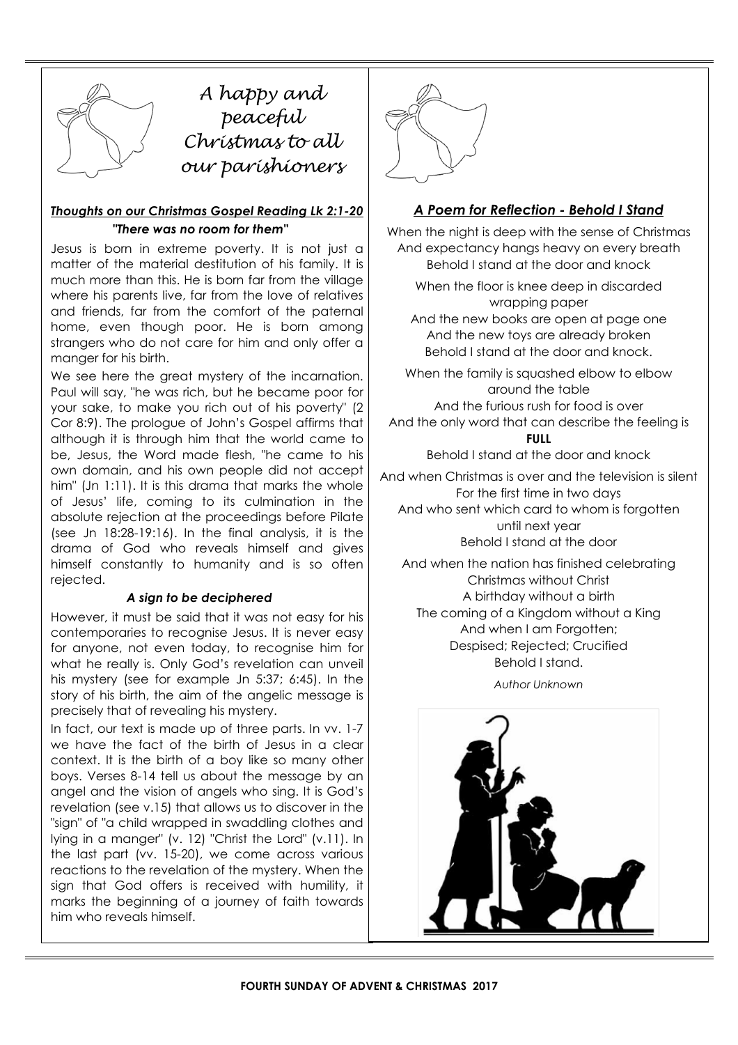

A happy and peaceful peucepu<br>Christmas to all our parishioners

# Thoughts on our Christmas Gospel Reading Lk 2:1-20 "There was no room for them"

Jesus is born in extreme poverty. It is not just a matter of the material destitution of his family. It is much more than this. He is born far from the village where his parents live, far from the love of relatives and friends, far from the comfort of the paternal home, even though poor. He is born among strangers who do not care for him and only offer a manger for his birth.

We see here the great mystery of the incarnation. Paul will say, "he was rich, but he became poor for your sake, to make you rich out of his poverty" (2 Cor 8:9). The prologue of John's Gospel affirms that although it is through him that the world came to be, Jesus, the Word made flesh, "he came to his own domain, and his own people did not accept him" (Jn 1:11). It is this drama that marks the whole of Jesus' life, coming to its culmination in the absolute rejection at the proceedings before Pilate (see Jn 18:28-19:16). In the final analysis, it is the drama of God who reveals himself and gives himself constantly to humanity and is so often rejected.

## A sign to be deciphered

However, it must be said that it was not easy for his contemporaries to recognise Jesus. It is never easy for anyone, not even today, to recognise him for what he really is. Only God's revelation can unveil his mystery (see for example Jn 5:37; 6:45). In the story of his birth, the aim of the angelic message is precisely that of revealing his mystery.

In fact, our text is made up of three parts. In vv. 1-7 we have the fact of the birth of Jesus in a clear context. It is the birth of a boy like so many other boys. Verses 8-14 tell us about the message by an angel and the vision of angels who sing. It is God's revelation (see v.15) that allows us to discover in the "sign" of "a child wrapped in swaddling clothes and lying in a manger" (v. 12) "Christ the Lord" (v.11). In the last part (vv. 15-20), we come across various reactions to the revelation of the mystery. When the sign that God offers is received with humility, it marks the beginning of a journey of faith towards him who reveals himself.



# A Poem for Reflection - Behold I Stand

When the night is deep with the sense of Christmas And expectancy hangs heavy on every breath Behold I stand at the door and knock

When the floor is knee deep in discarded wrapping paper

And the new books are open at page one And the new toys are already broken Behold I stand at the door and knock.

When the family is squashed elbow to elbow around the table And the furious rush for food is over

And the only word that can describe the feeling is FULL

Behold I stand at the door and knock

And when Christmas is over and the television is silent For the first time in two days And who sent which card to whom is forgotten until next year Behold I stand at the door

And when the nation has finished celebrating Christmas without Christ A birthday without a birth The coming of a Kingdom without a King And when I am Forgotten; Despised; Rejected; Crucified Behold I stand.

Author Unknown